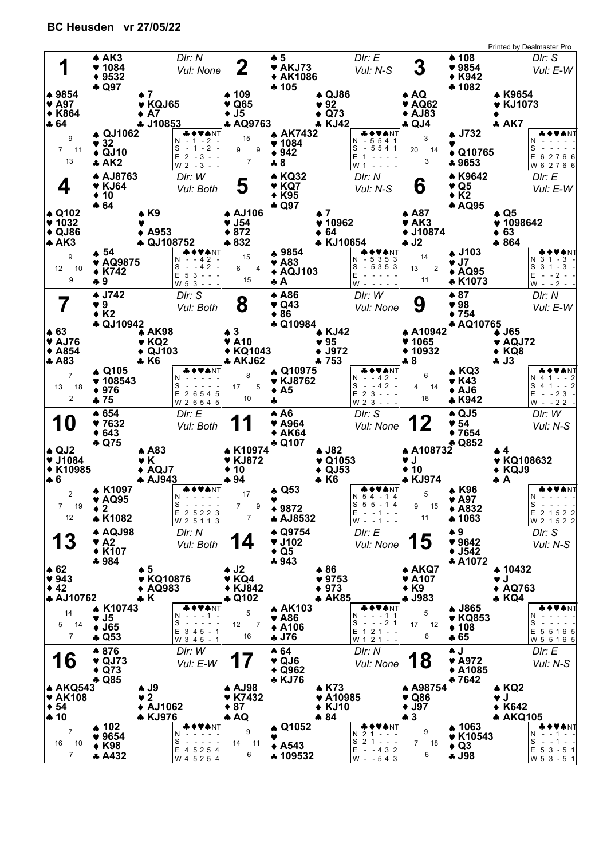